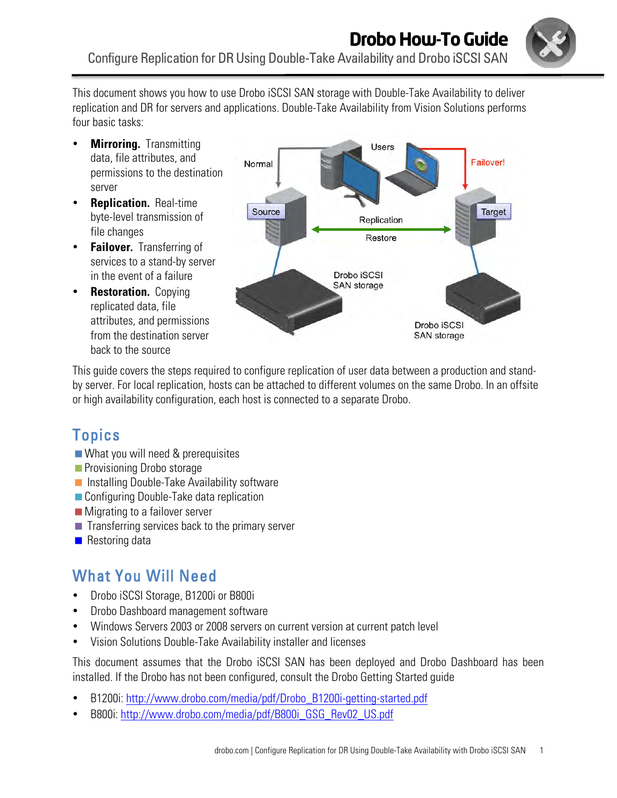

This document shows you how to use Drobo iSCSI SAN storage with Double-Take Availability to deliver replication and DR for servers and applications. Double-Take Availability from Vision Solutions performs four basic tasks:

- **Mirroring.** Transmitting data, file attributes, and permissions to the destination server
- **Replication.** Real-time byte-level transmission of file changes
- **Failover.** Transferring of services to a stand-by server in the event of a failure
- **Restoration.** Copying replicated data, file attributes, and permissions from the destination server back to the source



This guide covers the steps required to configure replication of user data between a production and standby server. For local replication, hosts can be attached to different volumes on the same Drobo. In an offsite or high availability configuration, each host is connected to a separate Drobo.

# **Topics**

- What you will need & prerequisites
- **Provisioning Drobo storage**
- **Installing Double-Take Availability software**
- Configuring Double-Take data replication
- Migrating to a failover server
- $\blacksquare$  Transferring services back to the primary server
- $\blacksquare$  Restoring data

# What You Will Need

- Drobo iSCSI Storage, B1200i or B800i
- Drobo Dashboard management software
- Windows Servers 2003 or 2008 servers on current version at current patch level
- Vision Solutions Double-Take Availability installer and licenses

This document assumes that the Drobo iSCSI SAN has been deployed and Drobo Dashboard has been installed. If the Drobo has not been configured, consult the Drobo Getting Started guide

- B1200i: http://www.drobo.com/media/pdf/Drobo\_B1200i-getting-started.pdf
- B800i: http://www.drobo.com/media/pdf/B800i\_GSG\_Rev02\_US.pdf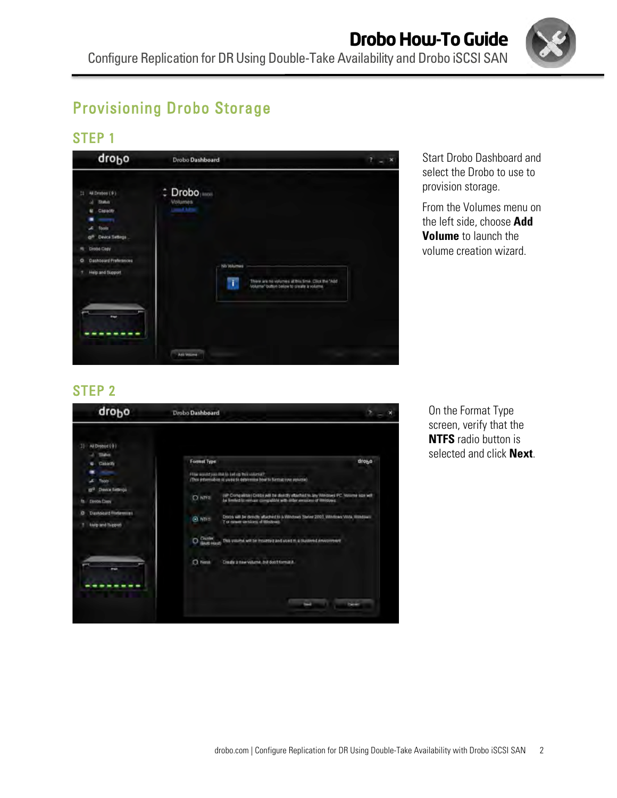

# Provisioning Drobo Storage

### STEP 1



Start Drobo Dashboard and select the Drobo to use to provision storage.

From the Volumes menu on the left side, choose **Add Volume** to launch the volume creation wizard.

### STEP 2



On the Format Type screen, verify that the **NTFS** radio button is selected and click **Next**.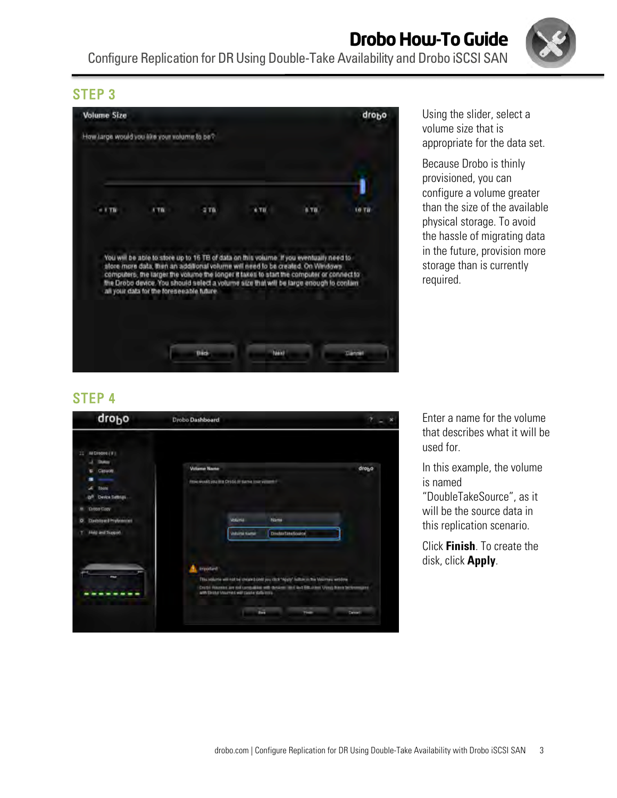**Volume Size** drobo How large would you like your volume to be? l  $-1.70$ ATR.  $2Tb$ 8 TB 10 78  $+70$ You will be able to store up to 16 TB of data on this volume if you eventually need to Tou will be able to store up to 16 the or data on this volume. If you eventually need to<br>above more data, then an additional volume will need to be created. On Windows<br>computers, the larger the volume the longer it taken t **Dack** Mexi Cannel

# STEP 4

| drobo                                                                 | Drobo Dashboard                                                          |                                                                |                                                                                                                                                                                      | $2 - x$ |
|-----------------------------------------------------------------------|--------------------------------------------------------------------------|----------------------------------------------------------------|--------------------------------------------------------------------------------------------------------------------------------------------------------------------------------------|---------|
| All Elredos ( # )<br>32<br>۰<br>Duko                                  |                                                                          |                                                                |                                                                                                                                                                                      |         |
| Casuom.<br>∝<br>٠<br><b>Touls</b><br>۰<br><b>Device Settings</b><br>æ | <b>Volume Name</b><br>Flow world you line Drobb III surve jour volume if |                                                                |                                                                                                                                                                                      | drogo   |
| <b>Drebo Copy</b><br>٠<br>Distributed Professores<br>$\circ$          |                                                                          | Voluna                                                         | Name                                                                                                                                                                                 |         |
| Help and Tuppett<br>٠                                                 |                                                                          | Volunta samai                                                  | <b>DoubleTakeRosace</b>                                                                                                                                                              |         |
| $\overline{\phantom{a}}$                                              | Important                                                                | with Einster Visuanies will care in statu in to<br><b>Best</b> | This volunte will not be created only you click "Apply" fullow in the Voluntes which w<br>Drubi Visuale are not consulting with designs like the difficulties. Using these betromped | Detroit |

Using the slider, select a volume size that is appropriate for the data set.

Because Drobo is thinly provisioned, you can configure a volume greater than the size of the available physical storage. To avoid the hassle of migrating data in the future, provision more storage than is currently required.

Enter a name for the volume that describes what it will be

In this example, the volume

"DoubleTakeSource", as it will be the source data in this replication scenario.

Click **Finish**. To create the

disk, click **Apply**.

used for.

is named

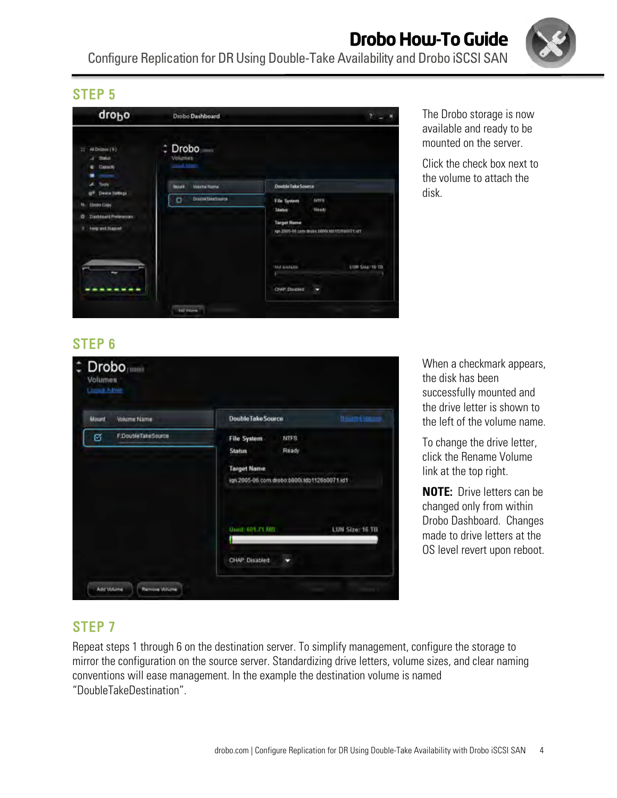**Drobo How-To Guide** Configure Replication for DR Using Double-Take Availability and Drobo iSCSI SAN

### STEP 5



The Drobo storage is now available and ready to be mounted on the server.

Click the check box next to the volume to attach the disk.

## STEP 6

| Mount | <b>Volume Name</b> | <b>Double Take Source</b>                     | <b>Resume Volume</b> |
|-------|--------------------|-----------------------------------------------|----------------------|
| ø     | F.DoubleTakeSource | <b>NTFS</b><br><b>File System</b>             |                      |
|       |                    | Ready<br><b>Status</b>                        |                      |
|       |                    | <b>Target Name</b>                            |                      |
|       |                    | lign.2005-06.com.drobo.b800i.tdp1126b0071.ld1 |                      |
|       |                    | Usuid: 601.71 MB                              | LUN Size: 16 TB      |

When a checkmark appears, the disk has been successfully mounted and the drive letter is shown to the left of the volume name.

To change the drive letter, click the Rename Volume link at the top right.

**NOTE:** Drive letters can be changed only from within Drobo Dashboard. Changes made to drive letters at the OS level revert upon reboot.

### STEP 7

Repeat steps 1 through 6 on the destination server. To simplify management, configure the storage to mirror the configuration on the source server. Standardizing drive letters, volume sizes, and clear naming conventions will ease management. In the example the destination volume is named "DoubleTakeDestination".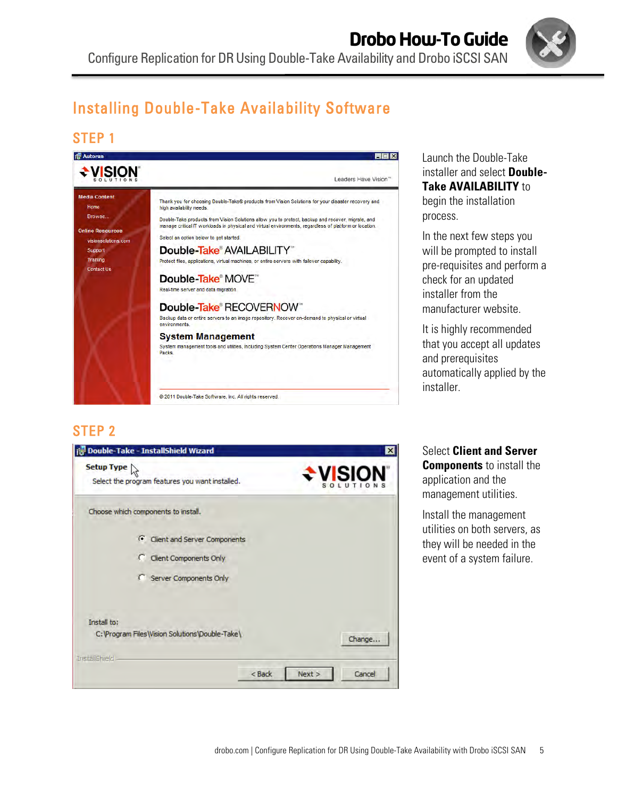

# Installing Double-Take Availability Software

### STEP 1



#### Launch the Double-Take installer and select **Double-Take AVAILABILITY** to begin the installation process.

In the next few steps you will be prompted to install pre-requisites and perform a check for an updated installer from the manufacturer website.

It is highly recommended that you accept all updates and prerequisites automatically applied by the installer.

### STEP 2



Select **Client and Server Components** to install the application and the management utilities.

Install the management utilities on both servers, as they will be needed in the event of a system failure.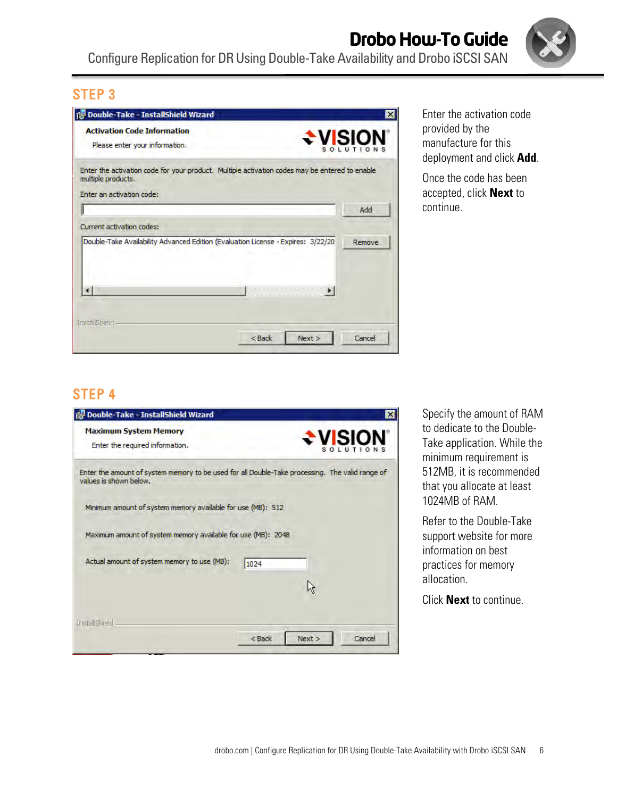

| <b>Activation Code Information</b>                                                                                                                |          |                       |        |
|---------------------------------------------------------------------------------------------------------------------------------------------------|----------|-----------------------|--------|
| Please enter your information.                                                                                                                    |          | <b>÷ylsióv</b>        |        |
| Enter the activation code for your product. Multiple activation codes may be entered to enable<br>multiple products.<br>Enter an activation code: |          |                       |        |
|                                                                                                                                                   |          |                       | Add    |
| Current activation codes:                                                                                                                         |          |                       |        |
| Double-Take Availability Advanced Edition (Evaluation License - Expires: 3/22/20)                                                                 |          |                       | Remove |
|                                                                                                                                                   |          | $\blacktriangleright$ |        |
| <b>InstallShield</b>                                                                                                                              |          |                       |        |
|                                                                                                                                                   | $<$ Back | Next >                | Cancel |

Enter the activation code provided by the manufacture for this deployment and click **Add**.

Once the code has been accepted, click **Next** to continue.

## STEP 4

| Double-Take - InstallShield Wizard                                                                                        | $\boldsymbol{\mathsf{x}}$    |
|---------------------------------------------------------------------------------------------------------------------------|------------------------------|
| <b>Maximum System Memory</b><br>Enter the required information.                                                           | $\div$ VISION                |
| Enter the amount of system memory to be used for all Double-Take processing. The valid range of<br>values is shown below. |                              |
| Minimum amount of system memory available for use (MB): 512                                                               |                              |
| Maximum amount of system memory available for use (MB): 2048                                                              |                              |
| Actual amount of system memory to use (MB):                                                                               | 1024                         |
|                                                                                                                           | W                            |
|                                                                                                                           |                              |
| <b>InstallShield</b>                                                                                                      | Next ><br>Cancel<br>$<$ Back |

Specify the amount of RAM to dedicate to the Double-Take application. While the minimum requirement is 512MB, it is recommended that you allocate at least 1024MB of RAM.

Refer to the Double-Take support website for more information on best practices for memory allocation.

Click **Next** to continue.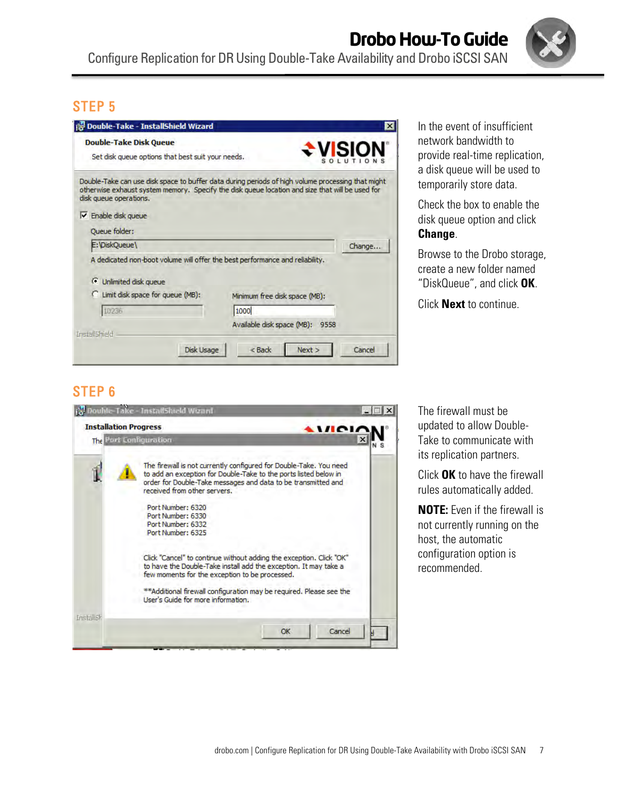

| <b>is Double-Take - InstallShield Wizard</b>                                       | $\boldsymbol{\mathsf{x}}$                                                                                                                                                                            |
|------------------------------------------------------------------------------------|------------------------------------------------------------------------------------------------------------------------------------------------------------------------------------------------------|
| <b>Double-Take Disk Queue</b><br>Set disk queue options that best suit your needs. | <b>EVISION</b>                                                                                                                                                                                       |
|                                                                                    |                                                                                                                                                                                                      |
|                                                                                    | Double-Take can use disk space to buffer data during periods of high volume processing that might<br>otherwise exhaust system memory. Specify the disk queue location and size that will be used for |
| disk queue operations.                                                             |                                                                                                                                                                                                      |
| <b>V</b> Enable disk queue                                                         |                                                                                                                                                                                                      |
| <b>Oueue</b> folder:                                                               |                                                                                                                                                                                                      |
| E:\DiskQueue\                                                                      | Change                                                                                                                                                                                               |
| A dedicated non-boot volume will offer the best performance and reliability.       |                                                                                                                                                                                                      |
| G<br>Unlimited disk queue                                                          |                                                                                                                                                                                                      |
| Limit disk space for queue (MB):                                                   | Minimum free disk space (MB):                                                                                                                                                                        |
| 10236                                                                              | 1000                                                                                                                                                                                                 |
|                                                                                    | Available disk space (MB):<br>9558                                                                                                                                                                   |
| Install5hield                                                                      |                                                                                                                                                                                                      |
| <b>Disk Usage</b>                                                                  | Cancel<br>$<$ Back<br>Next                                                                                                                                                                           |

In the event of insufficient network bandwidth to provide real-time replication, a disk queue will be used to temporarily store data.

Check the box to enable the disk queue option and click **Change**.

Browse to the Drobo storage, create a new folder named "DiskQueue", and click **OK**.

Click **Next** to continue.

### STEP 6



The firewall must be updated to allow Double-Take to communicate with its replication partners.

Click **OK** to have the firewall rules automatically added.

**NOTE:** Even if the firewall is not currently running on the host, the automatic configuration option is recommended.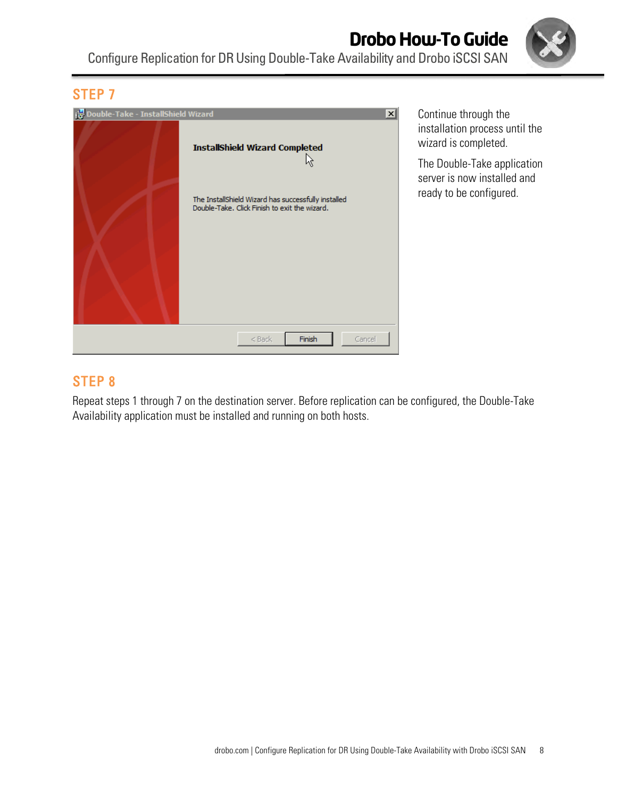



Continue through the installation process until the wizard is completed.

The Double-Take application server is now installed and ready to be configured.

### STEP 8

Repeat steps 1 through 7 on the destination server. Before replication can be configured, the Double-Take Availability application must be installed and running on both hosts.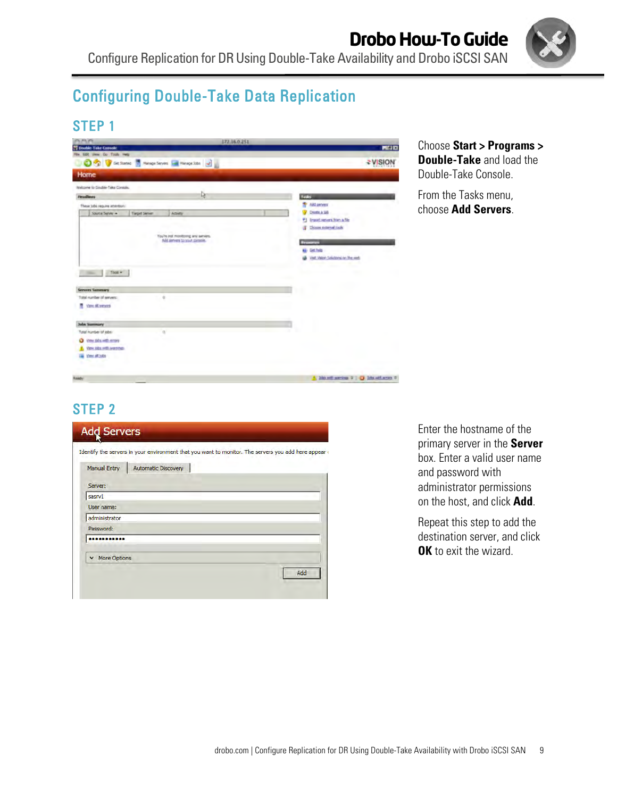

# Configuring Double-Take Data Replication

### STEP 1

| <b>IN MIN</b>                                         |                                     | 172,16.0.251 |                                         |
|-------------------------------------------------------|-------------------------------------|--------------|-----------------------------------------|
| T Double-Take Console<br>File Edit year Do Tools Help |                                     |              | 周围区                                     |
| O C Ground in Heap Seven La Heap Stat 2               |                                     |              | -VISION                                 |
| Home                                                  |                                     |              |                                         |
| Welcome to Double-Take Contole.                       |                                     |              |                                         |
| <b>Headless</b>                                       | R                                   |              | <b>Renda</b>                            |
| These tobs require american:                          |                                     |              | <b>The AM ANYWHEN</b>                   |
| Source Service<br><b>Tarpet Server</b>                | America                             |              | Death & SB                              |
|                                                       |                                     |              | #1 Import nervors from a file           |
|                                                       |                                     |              | (F Doos comediate                       |
|                                                       | You're not monitoring any services. |              |                                         |
|                                                       | Add general to your conside.        |              | <b>Besimmen</b>                         |
|                                                       |                                     |              | 63 Get help                             |
|                                                       |                                     |              | Veit Went Solutions in the rest         |
|                                                       |                                     |              |                                         |
| Tooll *                                               |                                     |              |                                         |
|                                                       |                                     |              |                                         |
| <b>Servers Summary</b>                                |                                     |              |                                         |
| Total number of servers:<br>ú                         |                                     |              |                                         |
| View All servers                                      |                                     |              |                                         |
| John Summary                                          |                                     |              |                                         |
| Total number of jobs:                                 |                                     |              |                                         |
| View John Hills errors<br>o                           |                                     |              |                                         |
| YEN ARE HITLEYEDDO.                                   |                                     |              |                                         |
| View all tobs                                         |                                     |              |                                         |
|                                                       |                                     |              |                                         |
|                                                       |                                     |              |                                         |
| <b>Sandy</b>                                          |                                     |              | A 230 million in a 1 C 2ds with arms of |

#### Choose **Start > Programs > Double-Take** and load the Double-Take Console.

From the Tasks menu, choose **Add Servers**.

## STEP 2

| <b>Manual Entry</b> | Automatic Discovery |     |
|---------------------|---------------------|-----|
| Server:             |                     |     |
| sasrv1              |                     |     |
| User name:          |                     |     |
| administrator       |                     |     |
| Password:           |                     |     |
|                     |                     |     |
| More Options        |                     |     |
|                     |                     | Add |

Enter the hostname of the primary server in the **Server** box. Enter a valid user name and password with administrator permissions on the host, and click **Add**.

Repeat this step to add the destination server, and click **OK** to exit the wizard.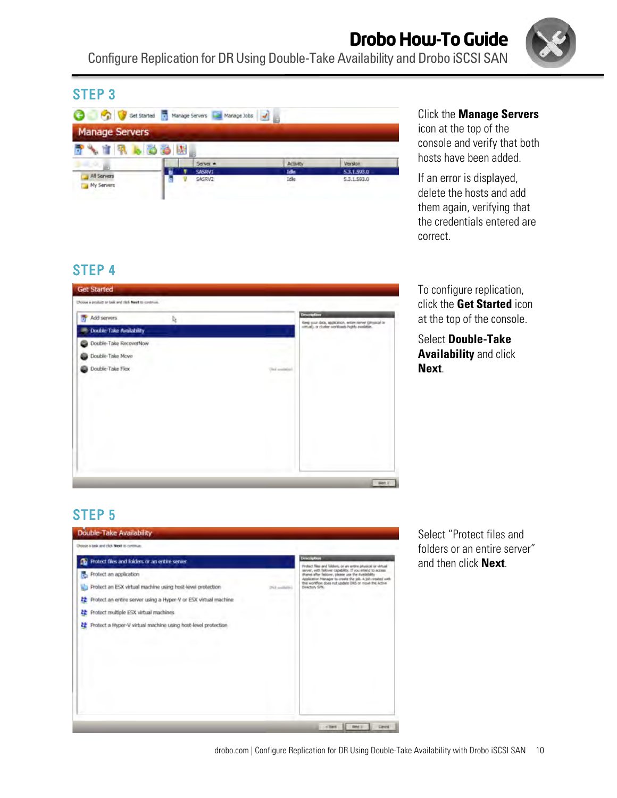|                           |        | Get Started T Manage Servers The Manage Jobs |                |                |
|---------------------------|--------|----------------------------------------------|----------------|----------------|
| <b>Manage Servers</b>     | . 63 M |                                              |                |                |
|                           |        | Server =                                     | Activity       | <b>Werston</b> |
|                           |        | SASRV1                                       | Teller         | 5.3.1.593.0    |
| All Servers<br>My Servers |        | SASRV2                                       | Idle<br>$\sim$ | 5.3.1.593.0    |

#### Click the **Manage Servers**

icon at the top of the console and verify that both hosts have been added.

If an error is displayed, delete the hosts and add them again, verifying that the credentials entered are correct.

## STEP 4



To configure replication, click the **Get Started** icon at the top of the console.

Select **Double-Take Availability** and click **Next**.

## STEP 5



Select "Protect files and folders or an entire server" and then click **Next**.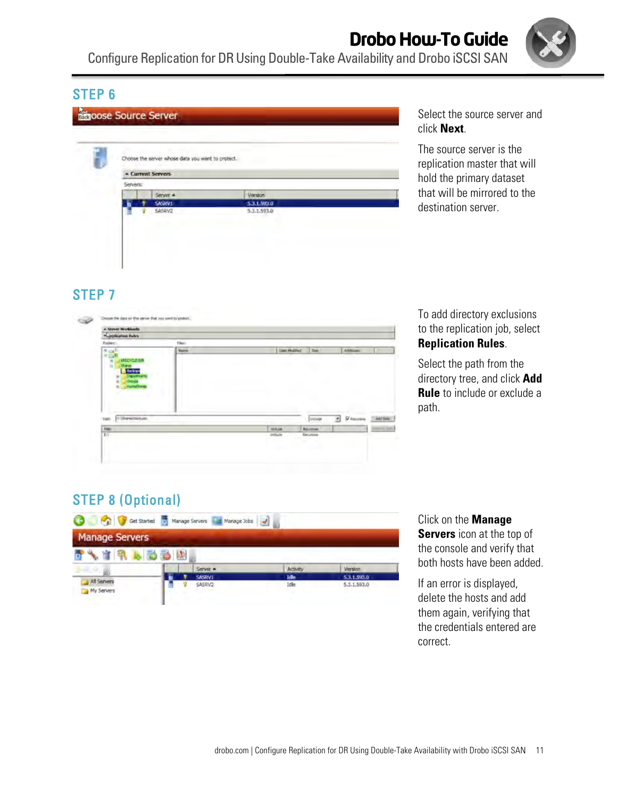

#### **Spoose Source Server** Choose the server whose data you want to protect. - Current Servers Servers Server \* Version SASRVI 5.3.1.593.0 5.3.1.593.0 **SASKV2**

Select the source server and click **Next**.

The source server is the replication master that will hold the primary dataset that will be mirrored to the destination server.

# STEP 7



#### To add directory exclusions to the replication job, select **Replication Rules**.

Select the path from the directory tree, and click **Add Rule** to include or exclude a path.

## STEP 8 (Optional)

| <b>Manage Servers</b>     |        |          |                 |                |
|---------------------------|--------|----------|-----------------|----------------|
|                           | . 66 2 |          |                 |                |
|                           |        | Server = | <b>Activity</b> | <b>Version</b> |
|                           |        | SASRV1   | <b>Tribe</b>    | 5.3.1.593.0    |
| All Servers<br>My Servers |        | SASRV2   | Idle            | 5.3.1.593.0    |

#### Click on the **Manage**

**Servers** icon at the top of the console and verify that both hosts have been added.

If an error is displayed, delete the hosts and add them again, verifying that the credentials entered are correct.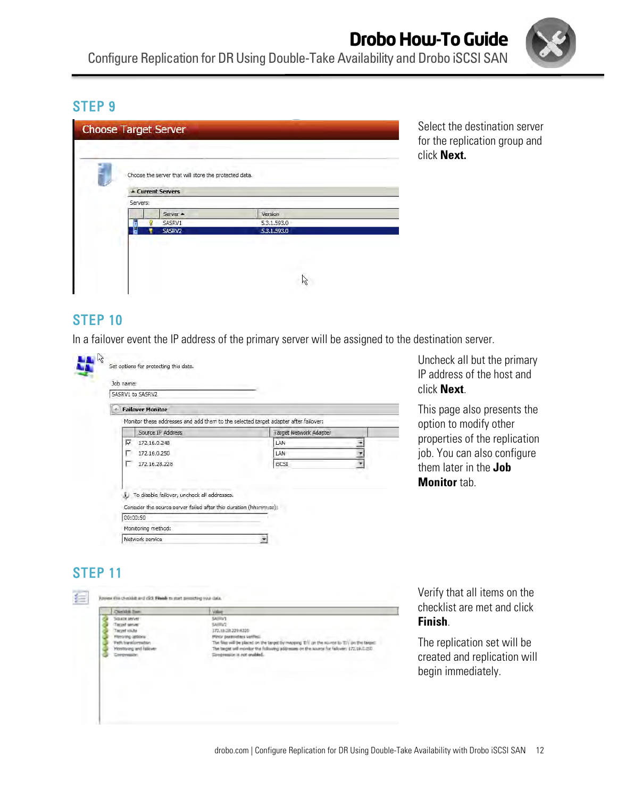

| - Current Servers  |             |
|--------------------|-------------|
| Servers:           |             |
| Server $\triangle$ | Version     |
| SASRV1             | 5.3.1.593.0 |
| SASRV2             | 5.3.1.593.0 |
|                    |             |

Select the destination server for the replication group and click **Next.**

### STEP 10

In a failover event the IP address of the primary server will be assigned to the destination server.

| Job name:<br>SASRV1 to SASRV2                                                       |                        |
|-------------------------------------------------------------------------------------|------------------------|
| <b>Failover Monitor</b>                                                             |                        |
| Monitor these addresses and add them to the selected target adapter after failover; |                        |
| Source IP Address                                                                   | Target Network Adapter |
| 172.16.0.248<br>⊽                                                                   | LAN                    |
| 172.16.0.250                                                                        | LAN.                   |
| 172.16.28.228                                                                       | <b>ISCST</b>           |
| To disable failover, uncheck all addresses.                                         |                        |
| Consider the source server failed after this duration (hh:mm:ss):                   |                        |

Uncheck all but the primary IP address of the host and click **Next**.

This page also presents the option to modify other properties of the replication job. You can also configure them later in the **Job Monitor** tab.

replication will

## STEP 11

| <b>Clientistic Trees</b>                               | Value                                                                                                                                                                                                                                             | checklist are met and click                                                      |
|--------------------------------------------------------|---------------------------------------------------------------------------------------------------------------------------------------------------------------------------------------------------------------------------------------------------|----------------------------------------------------------------------------------|
| <b>SOLIDE MOVED</b><br>net una ha                      | 54/04/1<br><b>SAFEV2</b><br>72.18.39.22916320                                                                                                                                                                                                     | Finish.                                                                          |
| att transcomplies<br>Monitoring and Hatch<br>orrevenue | Minor particulars varily<br>he files will be placed on the target by mapping TCV cir the scures to TCV on the target:<br>The target will monitor the following addresses on the assets for fallowin: \$72,19.0.250<br>limentation is not anabled. | The replication set will be<br>created and replication wil<br>begin immediately. |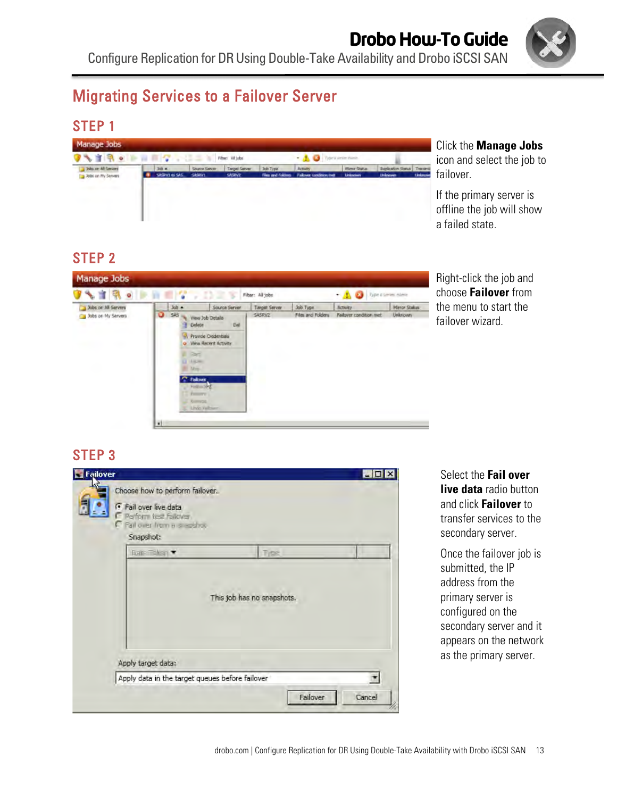

# Migrating Services to a Failover Server

### STEP 1



#### Click the **Manage Jobs**

icon and select the job to failover.

If the primary server is offline the job will show a failed state.

## STEP 2



Right-click the job and choose **Failover** from the menu to start the failover wizard.

### STEP 3



Select the **Fail over live data** radio button and click **Failover** to transfer services to the secondary server.

Once the failover job is submitted, the IP address from the primary server is configured on the secondary server and it appears on the network as the primary server.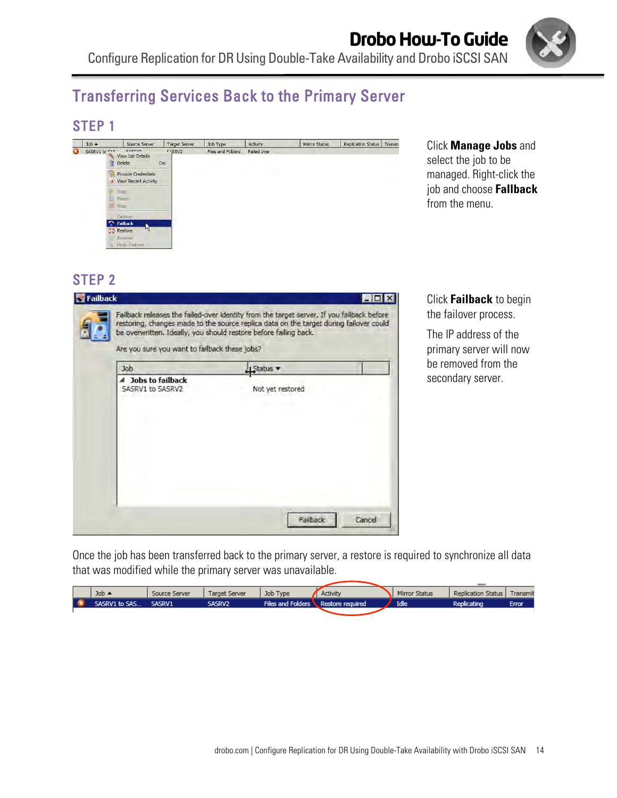

# Transferring Services Back to the Primary Server

### STEP 1

|   | $Job -$       |                | Source Server                                         | Target Server             | Job Type          | Activity    | Mirror Status | Replication Status | Transm |
|---|---------------|----------------|-------------------------------------------------------|---------------------------|-------------------|-------------|---------------|--------------------|--------|
| o | SASRV1 to FAC |                | cacmun<br>View Job Details<br>Delete                  | F <sub>1SRV2</sub><br>Del | Files and Folders | Failed over |               |                    |        |
|   |               |                | Provide Credentials<br><b>O</b> View Recent Activity  |                           | œ                 |             |               |                    |        |
|   |               |                | <b>Start</b><br>Pause<br><b>Stop</b>                  |                           |                   |             |               |                    |        |
|   | e.<br>c       | <b>Restore</b> | Failover<br>Failback<br>w<br>Reverse<br>Undo Failover |                           |                   |             |               |                    |        |

Click **Manage Jobs** and select the job to be managed. Right-click the job and choose **Fallback** from the menu.

#### STEP 2

|                                                             | restoring, changes made to the source replica data on the target during failover could<br>be overwritten. Ideally, you should restore before failing back. |
|-------------------------------------------------------------|------------------------------------------------------------------------------------------------------------------------------------------------------------|
| Are you sure you want to failback these jobs?<br><b>Job</b> | $1$ Status                                                                                                                                                 |
| ▲ Jobs to failback<br>SASRV1 to SASRV2                      | Not yet restored                                                                                                                                           |
|                                                             |                                                                                                                                                            |
|                                                             |                                                                                                                                                            |

Click **Failback** to begin the failover process.

The IP address of the primary server will now be removed from the secondary server.

Once the job has been transferred back to the primary server, a restore is required to synchronize all data that was modified while the primary server was unavailable.

| Job $\triangle$ | Source Server | Target Server | Job Type                           | Activity | Mirror Status | Replication Status | Transmit |
|-----------------|---------------|---------------|------------------------------------|----------|---------------|--------------------|----------|
| SASRV1 to SAS   | SASRV1        | Sasrv2        | Files and Folders Restore required |          | <b>Idle</b>   | Replicating        | Error    |
|                 |               |               |                                    |          |               |                    |          |